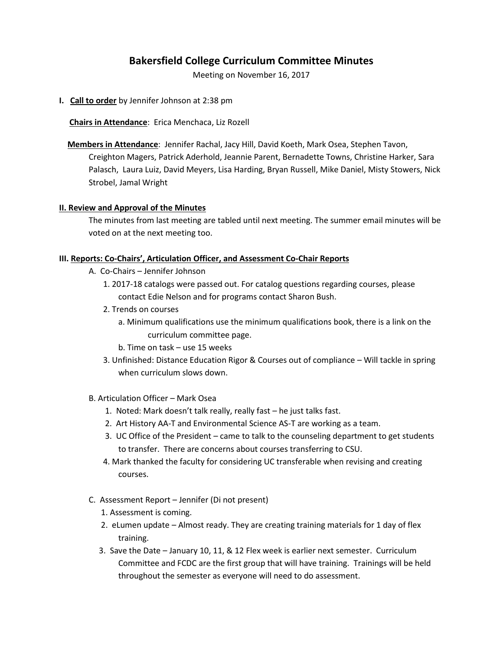# **Bakersfield College Curriculum Committee Minutes**

Meeting on November 16, 2017

**I. Call to order** by Jennifer Johnson at 2:38 pm

 **Chairs in Attendance**: Erica Menchaca, Liz Rozell

 **Members in Attendance**: Jennifer Rachal, Jacy Hill, David Koeth, Mark Osea, Stephen Tavon, Creighton Magers, Patrick Aderhold, Jeannie Parent, Bernadette Towns, Christine Harker, Sara Palasch, Laura Luiz, David Meyers, Lisa Harding, Bryan Russell, Mike Daniel, Misty Stowers, Nick Strobel, Jamal Wright

#### **II. Review and Approval of the Minutes**

The minutes from last meeting are tabled until next meeting. The summer email minutes will be voted on at the next meeting too.

### **III. Reports: Co-Chairs', Articulation Officer, and Assessment Co-Chair Reports**

- A. Co-Chairs Jennifer Johnson
	- 1. 2017-18 catalogs were passed out. For catalog questions regarding courses, please contact Edie Nelson and for programs contact Sharon Bush.
	- 2. Trends on courses
		- a. Minimum qualifications use the minimum qualifications book, there is a link on the curriculum committee page.
		- b. Time on task use 15 weeks
	- 3. Unfinished: Distance Education Rigor & Courses out of compliance Will tackle in spring when curriculum slows down.
- B. Articulation Officer Mark Osea
	- 1. Noted: Mark doesn't talk really, really fast he just talks fast.
	- 2. Art History AA-T and Environmental Science AS-T are working as a team.
	- 3. UC Office of the President came to talk to the counseling department to get students to transfer. There are concerns about courses transferring to CSU.
	- 4. Mark thanked the faculty for considering UC transferable when revising and creating courses.
- C. Assessment Report Jennifer (Di not present)
	- 1. Assessment is coming.
	- 2. eLumen update Almost ready. They are creating training materials for 1 day of flex training.
	- 3. Save the Date January 10, 11, & 12 Flex week is earlier next semester. Curriculum Committee and FCDC are the first group that will have training. Trainings will be held throughout the semester as everyone will need to do assessment.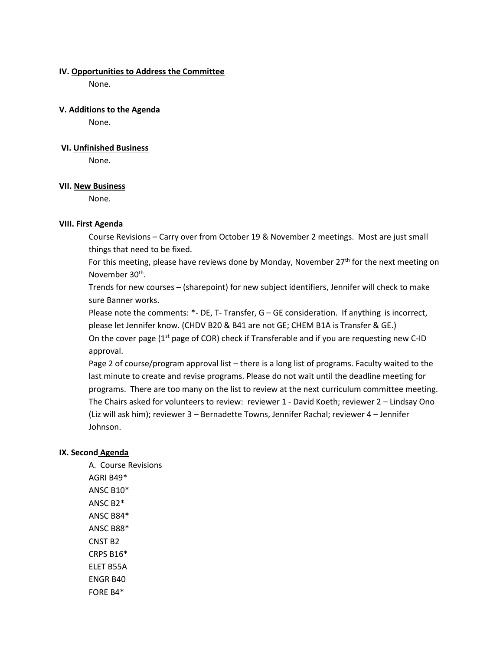#### **IV. Opportunities to Address the Committee**

None.

### **V. Additions to the Agenda**

None.

### **VI. Unfinished Business**

None.

### **VII. New Business**

None.

# **VIII. First Agenda**

Course Revisions – Carry over from October 19 & November 2 meetings. Most are just small things that need to be fixed.

For this meeting, please have reviews done by Monday, November  $27<sup>th</sup>$  for the next meeting on November 30<sup>th</sup>.

Trends for new courses – (sharepoint) for new subject identifiers, Jennifer will check to make sure Banner works.

Please note the comments: \*- DE, T- Transfer, G – GE consideration. If anything is incorrect, please let Jennifer know. (CHDV B20 & B41 are not GE; CHEM B1A is Transfer & GE.)

On the cover page  $(1<sup>st</sup>$  page of COR) check if Transferable and if you are requesting new C-ID approval.

Page 2 of course/program approval list – there is a long list of programs. Faculty waited to the last minute to create and revise programs. Please do not wait until the deadline meeting for programs. There are too many on the list to review at the next curriculum committee meeting. The Chairs asked for volunteers to review: reviewer 1 - David Koeth; reviewer 2 – Lindsay Ono (Liz will ask him); reviewer 3 – Bernadette Towns, Jennifer Rachal; reviewer 4 – Jennifer Johnson.

# **IX. Second Agenda**

A. Course Revisions AGRI B49\* ANSC B10\* ANSC B2\* ANSC B84\* ANSC B88\* CNST B2 CRPS B16\* ELET B55A ENGR B40 FORE B4\*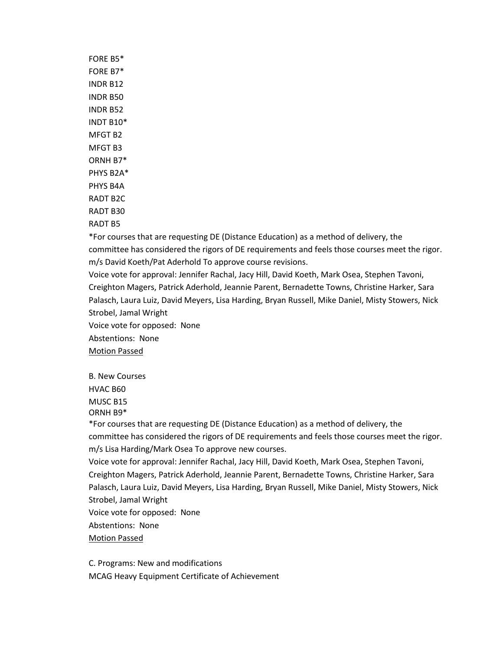FORE B5\* FORE B7\* INDR B12 INDR B50 INDR B52 INDT B10\* MFGT B2 MFGT B3 ORNH B7\* PHYS B2A\* PHYS B4A RADT B2C RADT B30 RADT B5

\*For courses that are requesting DE (Distance Education) as a method of delivery, the committee has considered the rigors of DE requirements and feels those courses meet the rigor. m/s David Koeth/Pat Aderhold To approve course revisions.

Voice vote for approval: Jennifer Rachal, Jacy Hill, David Koeth, Mark Osea, Stephen Tavoni, Creighton Magers, Patrick Aderhold, Jeannie Parent, Bernadette Towns, Christine Harker, Sara Palasch, Laura Luiz, David Meyers, Lisa Harding, Bryan Russell, Mike Daniel, Misty Stowers, Nick Strobel, Jamal Wright

Voice vote for opposed: None

Abstentions: None

Motion Passed

B. New Courses HVAC B60

MUSC B15

ORNH B9\*

\*For courses that are requesting DE (Distance Education) as a method of delivery, the committee has considered the rigors of DE requirements and feels those courses meet the rigor. m/s Lisa Harding/Mark Osea To approve new courses.

Voice vote for approval: Jennifer Rachal, Jacy Hill, David Koeth, Mark Osea, Stephen Tavoni, Creighton Magers, Patrick Aderhold, Jeannie Parent, Bernadette Towns, Christine Harker, Sara Palasch, Laura Luiz, David Meyers, Lisa Harding, Bryan Russell, Mike Daniel, Misty Stowers, Nick Strobel, Jamal Wright

Voice vote for opposed: None

Abstentions: None

### Motion Passed

C. Programs: New and modifications MCAG Heavy Equipment Certificate of Achievement